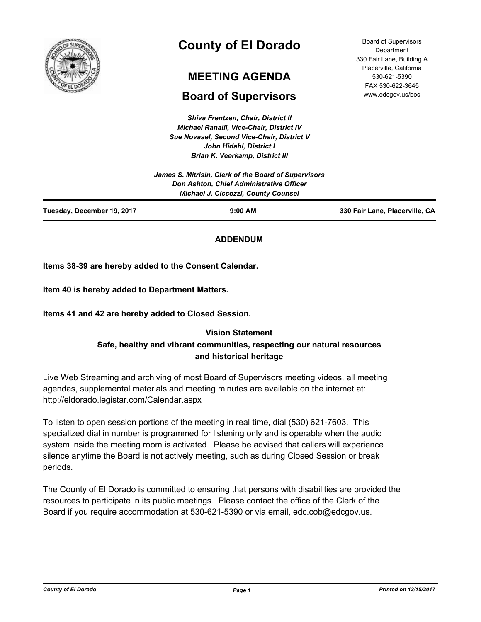

# **County of El Dorado**

# **MEETING AGENDA**

# **Board of Supervisors**

*Shiva Frentzen, Chair, District II Michael Ranalli, Vice-Chair, District IV Sue Novasel, Second Vice-Chair, District V John Hidahl, District I Brian K. Veerkamp, District III*

Board of Supervisors **Department** 330 Fair Lane, Building A Placerville, California 530-621-5390 FAX 530-622-3645 www.edcgov.us/bos

| $9:00$ AM                                            | 330 Fair Lane, Placerville, CA |
|------------------------------------------------------|--------------------------------|
| <b>Michael J. Ciccozzi, County Counsel</b>           |                                |
| Don Ashton, Chief Administrative Officer             |                                |
| James S. Mitrisin, Clerk of the Board of Supervisors |                                |
|                                                      |                                |

## **ADDENDUM**

**Items 38-39 are hereby added to the Consent Calendar.**

**Item 40 is hereby added to Department Matters.**

**Items 41 and 42 are hereby added to Closed Session.**

## **Vision Statement**

# **Safe, healthy and vibrant communities, respecting our natural resources and historical heritage**

Live Web Streaming and archiving of most Board of Supervisors meeting videos, all meeting agendas, supplemental materials and meeting minutes are available on the internet at: http://eldorado.legistar.com/Calendar.aspx

To listen to open session portions of the meeting in real time, dial (530) 621-7603. This specialized dial in number is programmed for listening only and is operable when the audio system inside the meeting room is activated. Please be advised that callers will experience silence anytime the Board is not actively meeting, such as during Closed Session or break periods.

The County of El Dorado is committed to ensuring that persons with disabilities are provided the resources to participate in its public meetings. Please contact the office of the Clerk of the Board if you require accommodation at 530-621-5390 or via email, edc.cob@edcgov.us.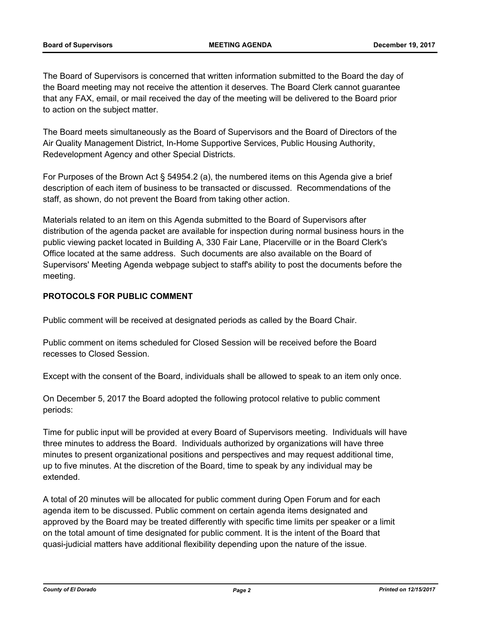The Board of Supervisors is concerned that written information submitted to the Board the day of the Board meeting may not receive the attention it deserves. The Board Clerk cannot guarantee that any FAX, email, or mail received the day of the meeting will be delivered to the Board prior to action on the subject matter.

The Board meets simultaneously as the Board of Supervisors and the Board of Directors of the Air Quality Management District, In-Home Supportive Services, Public Housing Authority, Redevelopment Agency and other Special Districts.

For Purposes of the Brown Act § 54954.2 (a), the numbered items on this Agenda give a brief description of each item of business to be transacted or discussed. Recommendations of the staff, as shown, do not prevent the Board from taking other action.

Materials related to an item on this Agenda submitted to the Board of Supervisors after distribution of the agenda packet are available for inspection during normal business hours in the public viewing packet located in Building A, 330 Fair Lane, Placerville or in the Board Clerk's Office located at the same address. Such documents are also available on the Board of Supervisors' Meeting Agenda webpage subject to staff's ability to post the documents before the meeting.

## **PROTOCOLS FOR PUBLIC COMMENT**

Public comment will be received at designated periods as called by the Board Chair.

Public comment on items scheduled for Closed Session will be received before the Board recesses to Closed Session.

Except with the consent of the Board, individuals shall be allowed to speak to an item only once.

On December 5, 2017 the Board adopted the following protocol relative to public comment periods:

Time for public input will be provided at every Board of Supervisors meeting. Individuals will have three minutes to address the Board. Individuals authorized by organizations will have three minutes to present organizational positions and perspectives and may request additional time, up to five minutes. At the discretion of the Board, time to speak by any individual may be extended.

A total of 20 minutes will be allocated for public comment during Open Forum and for each agenda item to be discussed. Public comment on certain agenda items designated and approved by the Board may be treated differently with specific time limits per speaker or a limit on the total amount of time designated for public comment. It is the intent of the Board that quasi-judicial matters have additional flexibility depending upon the nature of the issue.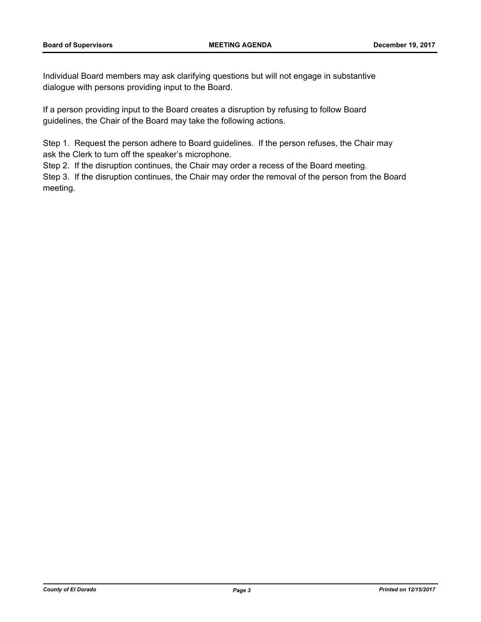Individual Board members may ask clarifying questions but will not engage in substantive dialogue with persons providing input to the Board.

If a person providing input to the Board creates a disruption by refusing to follow Board guidelines, the Chair of the Board may take the following actions.

Step 1. Request the person adhere to Board guidelines. If the person refuses, the Chair may ask the Clerk to turn off the speaker's microphone.

Step 2. If the disruption continues, the Chair may order a recess of the Board meeting.

Step 3. If the disruption continues, the Chair may order the removal of the person from the Board meeting.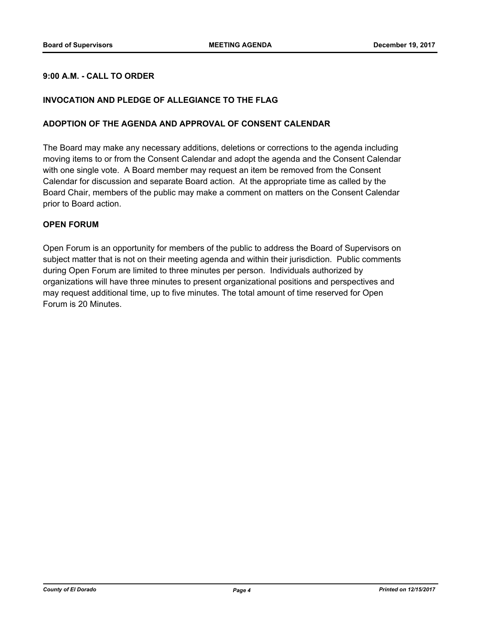## **9:00 A.M. - CALL TO ORDER**

## **INVOCATION AND PLEDGE OF ALLEGIANCE TO THE FLAG**

#### **ADOPTION OF THE AGENDA AND APPROVAL OF CONSENT CALENDAR**

The Board may make any necessary additions, deletions or corrections to the agenda including moving items to or from the Consent Calendar and adopt the agenda and the Consent Calendar with one single vote. A Board member may request an item be removed from the Consent Calendar for discussion and separate Board action. At the appropriate time as called by the Board Chair, members of the public may make a comment on matters on the Consent Calendar prior to Board action.

### **OPEN FORUM**

Open Forum is an opportunity for members of the public to address the Board of Supervisors on subject matter that is not on their meeting agenda and within their jurisdiction. Public comments during Open Forum are limited to three minutes per person. Individuals authorized by organizations will have three minutes to present organizational positions and perspectives and may request additional time, up to five minutes. The total amount of time reserved for Open Forum is 20 Minutes.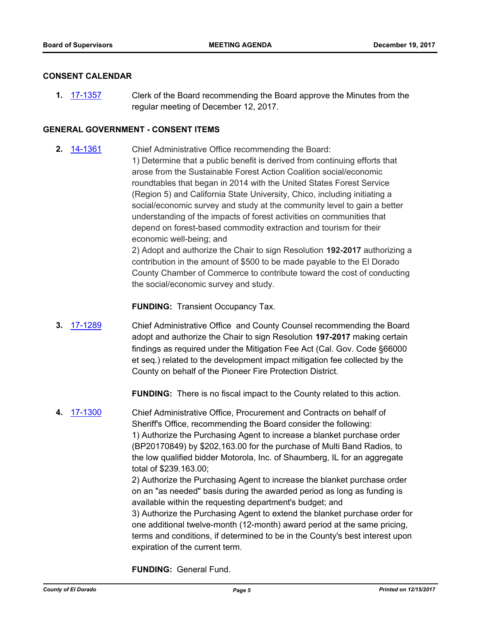### **CONSENT CALENDAR**

**1.** [17-1357](http://eldorado.legistar.com/gateway.aspx?m=l&id=/matter.aspx?key=23303) Clerk of the Board recommending the Board approve the Minutes from the regular meeting of December 12, 2017.

## **GENERAL GOVERNMENT - CONSENT ITEMS**

**2.** [14-1361](http://eldorado.legistar.com/gateway.aspx?m=l&id=/matter.aspx?key=18845) Chief Administrative Office recommending the Board: 1) Determine that a public benefit is derived from continuing efforts that arose from the Sustainable Forest Action Coalition social/economic roundtables that began in 2014 with the United States Forest Service (Region 5) and California State University, Chico, including initiating a social/economic survey and study at the community level to gain a better understanding of the impacts of forest activities on communities that depend on forest-based commodity extraction and tourism for their economic well-being; and

2) Adopt and authorize the Chair to sign Resolution **192-2017** authorizing a contribution in the amount of \$500 to be made payable to the El Dorado County Chamber of Commerce to contribute toward the cost of conducting the social/economic survey and study.

**FUNDING:** Transient Occupancy Tax.

**3.** [17-1289](http://eldorado.legistar.com/gateway.aspx?m=l&id=/matter.aspx?key=23233) Chief Administrative Office and County Counsel recommending the Board adopt and authorize the Chair to sign Resolution **197-2017** making certain findings as required under the Mitigation Fee Act (Cal. Gov. Code §66000 et seq.) related to the development impact mitigation fee collected by the County on behalf of the Pioneer Fire Protection District.

**FUNDING:** There is no fiscal impact to the County related to this action.

**4.** [17-1300](http://eldorado.legistar.com/gateway.aspx?m=l&id=/matter.aspx?key=23244) Chief Administrative Office, Procurement and Contracts on behalf of Sheriff's Office, recommending the Board consider the following: 1) Authorize the Purchasing Agent to increase a blanket purchase order (BP20170849) by \$202,163.00 for the purchase of Multi Band Radios, to the low qualified bidder Motorola, Inc. of Shaumberg, IL for an aggregate total of \$239.163.00;

> 2) Authorize the Purchasing Agent to increase the blanket purchase order on an "as needed" basis during the awarded period as long as funding is available within the requesting department's budget; and

3) Authorize the Purchasing Agent to extend the blanket purchase order for one additional twelve-month (12-month) award period at the same pricing, terms and conditions, if determined to be in the County's best interest upon expiration of the current term.

**FUNDING:** General Fund.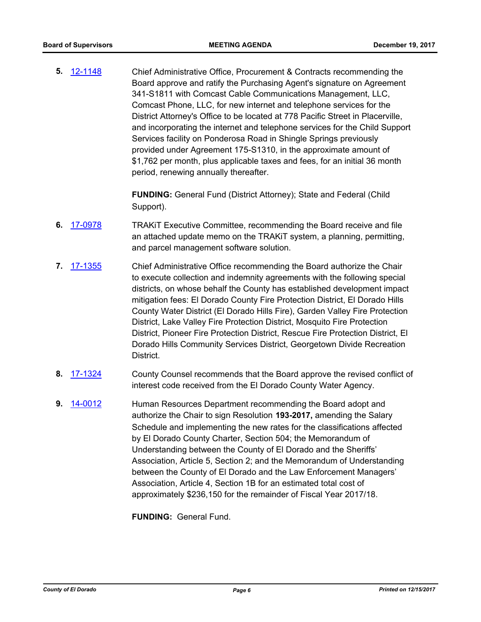**5.** [12-1148](http://eldorado.legistar.com/gateway.aspx?m=l&id=/matter.aspx?key=15449) Chief Administrative Office, Procurement & Contracts recommending the Board approve and ratify the Purchasing Agent's signature on Agreement 341-S1811 with Comcast Cable Communications Management, LLC, Comcast Phone, LLC, for new internet and telephone services for the District Attorney's Office to be located at 778 Pacific Street in Placerville, and incorporating the internet and telephone services for the Child Support Services facility on Ponderosa Road in Shingle Springs previously provided under Agreement 175-S1310, in the approximate amount of \$1,762 per month, plus applicable taxes and fees, for an initial 36 month period, renewing annually thereafter.

> **FUNDING:** General Fund (District Attorney); State and Federal (Child Support).

- **6.** [17-0978](http://eldorado.legistar.com/gateway.aspx?m=l&id=/matter.aspx?key=22922) TRAKiT Executive Committee, recommending the Board receive and file an attached update memo on the TRAKiT system, a planning, permitting, and parcel management software solution.
- **7.** [17-1355](http://eldorado.legistar.com/gateway.aspx?m=l&id=/matter.aspx?key=23301) Chief Administrative Office recommending the Board authorize the Chair to execute collection and indemnity agreements with the following special districts, on whose behalf the County has established development impact mitigation fees: El Dorado County Fire Protection District, El Dorado Hills County Water District (El Dorado Hills Fire), Garden Valley Fire Protection District, Lake Valley Fire Protection District, Mosquito Fire Protection District, Pioneer Fire Protection District, Rescue Fire Protection District, El Dorado Hills Community Services District, Georgetown Divide Recreation District.
- **8.** [17-1324](http://eldorado.legistar.com/gateway.aspx?m=l&id=/matter.aspx?key=23268) County Counsel recommends that the Board approve the revised conflict of interest code received from the El Dorado County Water Agency.
- **9.** [14-0012](http://eldorado.legistar.com/gateway.aspx?m=l&id=/matter.aspx?key=17493) Human Resources Department recommending the Board adopt and authorize the Chair to sign Resolution **193-2017,** amending the Salary Schedule and implementing the new rates for the classifications affected by El Dorado County Charter, Section 504; the Memorandum of Understanding between the County of El Dorado and the Sheriffs' Association, Article 5, Section 2; and the Memorandum of Understanding between the County of El Dorado and the Law Enforcement Managers' Association, Article 4, Section 1B for an estimated total cost of approximately \$236,150 for the remainder of Fiscal Year 2017/18.

**FUNDING:** General Fund.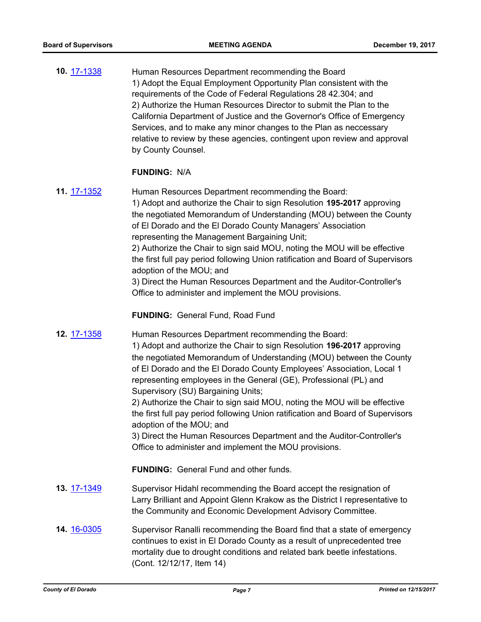**10.** [17-1338](http://eldorado.legistar.com/gateway.aspx?m=l&id=/matter.aspx?key=23284) Human Resources Department recommending the Board 1) Adopt the Equal Employment Opportunity Plan consistent with the requirements of the Code of Federal Regulations 28 42.304; and 2) Authorize the Human Resources Director to submit the Plan to the California Department of Justice and the Governor's Office of Emergency Services, and to make any minor changes to the Plan as neccessary relative to review by these agencies, contingent upon review and approval by County Counsel.

### **FUNDING:** N/A

- **11.** [17-1352](http://eldorado.legistar.com/gateway.aspx?m=l&id=/matter.aspx?key=23298) Human Resources Department recommending the Board: 1) Adopt and authorize the Chair to sign Resolution **195-2017** approving the negotiated Memorandum of Understanding (MOU) between the County of El Dorado and the El Dorado County Managers' Association representing the Management Bargaining Unit; 2) Authorize the Chair to sign said MOU, noting the MOU will be effective the first full pay period following Union ratification and Board of Supervisors adoption of the MOU; and 3) Direct the Human Resources Department and the Auditor-Controller's Office to administer and implement the MOU provisions. **FUNDING:** General Fund, Road Fund
- **12.** [17-1358](http://eldorado.legistar.com/gateway.aspx?m=l&id=/matter.aspx?key=23304) Human Resources Department recommending the Board: 1) Adopt and authorize the Chair to sign Resolution **196-2017** approving the negotiated Memorandum of Understanding (MOU) between the County of El Dorado and the El Dorado County Employees' Association, Local 1 representing employees in the General (GE), Professional (PL) and Supervisory (SU) Bargaining Units;

2) Authorize the Chair to sign said MOU, noting the MOU will be effective the first full pay period following Union ratification and Board of Supervisors adoption of the MOU; and

3) Direct the Human Resources Department and the Auditor-Controller's Office to administer and implement the MOU provisions.

**FUNDING:** General Fund and other funds.

- **13.** [17-1349](http://eldorado.legistar.com/gateway.aspx?m=l&id=/matter.aspx?key=23295) Supervisor Hidahl recommending the Board accept the resignation of Larry Brilliant and Appoint Glenn Krakow as the District I representative to the Community and Economic Development Advisory Committee.
- **14.** [16-0305](http://eldorado.legistar.com/gateway.aspx?m=l&id=/matter.aspx?key=20961) Supervisor Ranalli recommending the Board find that a state of emergency continues to exist in El Dorado County as a result of unprecedented tree mortality due to drought conditions and related bark beetle infestations. (Cont. 12/12/17, Item 14)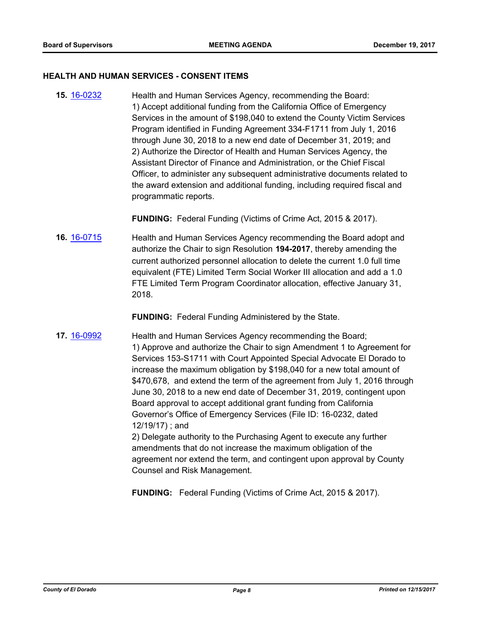#### **HEALTH AND HUMAN SERVICES - CONSENT ITEMS**

**15.** [16-0232](http://eldorado.legistar.com/gateway.aspx?m=l&id=/matter.aspx?key=20888) Health and Human Services Agency, recommending the Board: 1) Accept additional funding from the California Office of Emergency Services in the amount of \$198,040 to extend the County Victim Services Program identified in Funding Agreement 334-F1711 from July 1, 2016 through June 30, 2018 to a new end date of December 31, 2019; and 2) Authorize the Director of Health and Human Services Agency, the Assistant Director of Finance and Administration, or the Chief Fiscal Officer, to administer any subsequent administrative documents related to the award extension and additional funding, including required fiscal and programmatic reports.

**FUNDING:** Federal Funding (Victims of Crime Act, 2015 & 2017).

**16.** [16-0715](http://eldorado.legistar.com/gateway.aspx?m=l&id=/matter.aspx?key=21373) Health and Human Services Agency recommending the Board adopt and authorize the Chair to sign Resolution **194-2017**, thereby amending the current authorized personnel allocation to delete the current 1.0 full time equivalent (FTE) Limited Term Social Worker III allocation and add a 1.0 FTE Limited Term Program Coordinator allocation, effective January 31, 2018.

**FUNDING:** Federal Funding Administered by the State.

**17.** [16-0992](http://eldorado.legistar.com/gateway.aspx?m=l&id=/matter.aspx?key=21650) **Health and Human Services Agency recommending the Board;** 1) Approve and authorize the Chair to sign Amendment 1 to Agreement for Services 153-S1711 with Court Appointed Special Advocate El Dorado to increase the maximum obligation by \$198,040 for a new total amount of \$470,678, and extend the term of the agreement from July 1, 2016 through June 30, 2018 to a new end date of December 31, 2019, contingent upon Board approval to accept additional grant funding from California Governor's Office of Emergency Services (File ID: 16-0232, dated 12/19/17) ; and

2) Delegate authority to the Purchasing Agent to execute any further amendments that do not increase the maximum obligation of the agreement nor extend the term, and contingent upon approval by County Counsel and Risk Management.

**FUNDING:** Federal Funding (Victims of Crime Act, 2015 & 2017).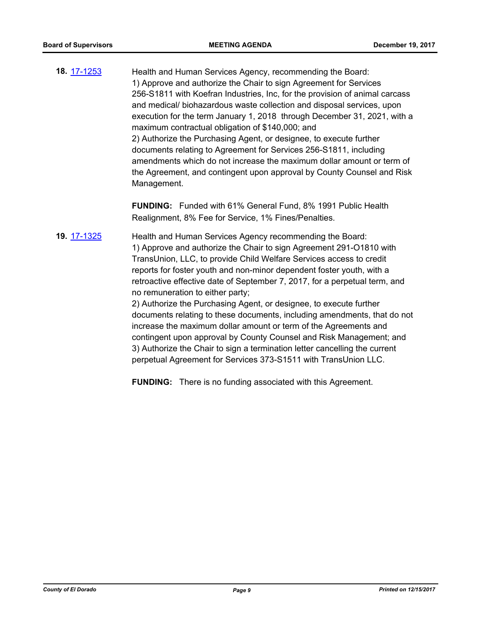**18.** [17-1253](http://eldorado.legistar.com/gateway.aspx?m=l&id=/matter.aspx?key=23197) Health and Human Services Agency, recommending the Board: 1) Approve and authorize the Chair to sign Agreement for Services 256-S1811 with Koefran Industries, Inc, for the provision of animal carcass and medical/ biohazardous waste collection and disposal services, upon execution for the term January 1, 2018 through December 31, 2021, with a maximum contractual obligation of \$140,000; and 2) Authorize the Purchasing Agent, or designee, to execute further documents relating to Agreement for Services 256-S1811, including amendments which do not increase the maximum dollar amount or term of the Agreement, and contingent upon approval by County Counsel and Risk Management.

> **FUNDING:** Funded with 61% General Fund, 8% 1991 Public Health Realignment, 8% Fee for Service, 1% Fines/Penalties.

**19.** [17-1325](http://eldorado.legistar.com/gateway.aspx?m=l&id=/matter.aspx?key=23269) Health and Human Services Agency recommending the Board: 1) Approve and authorize the Chair to sign Agreement 291-O1810 with TransUnion, LLC, to provide Child Welfare Services access to credit reports for foster youth and non-minor dependent foster youth, with a retroactive effective date of September 7, 2017, for a perpetual term, and no remuneration to either party;

> 2) Authorize the Purchasing Agent, or designee, to execute further documents relating to these documents, including amendments, that do not increase the maximum dollar amount or term of the Agreements and contingent upon approval by County Counsel and Risk Management; and 3) Authorize the Chair to sign a termination letter cancelling the current perpetual Agreement for Services 373-S1511 with TransUnion LLC.

**FUNDING:** There is no funding associated with this Agreement.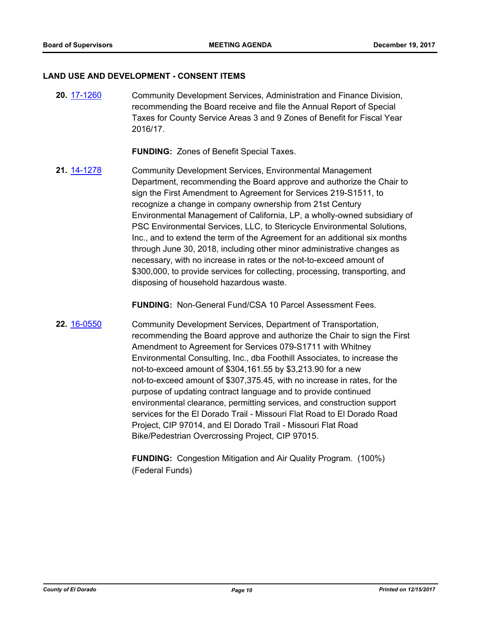#### **LAND USE AND DEVELOPMENT - CONSENT ITEMS**

**20.** [17-1260](http://eldorado.legistar.com/gateway.aspx?m=l&id=/matter.aspx?key=23204) Community Development Services, Administration and Finance Division, recommending the Board receive and file the Annual Report of Special Taxes for County Service Areas 3 and 9 Zones of Benefit for Fiscal Year 2016/17.

**FUNDING:** Zones of Benefit Special Taxes.

**21.** [14-1278](http://eldorado.legistar.com/gateway.aspx?m=l&id=/matter.aspx?key=18762) Community Development Services, Environmental Management Department, recommending the Board approve and authorize the Chair to sign the First Amendment to Agreement for Services 219-S1511, to recognize a change in company ownership from 21st Century Environmental Management of California, LP, a wholly-owned subsidiary of PSC Environmental Services, LLC, to Stericycle Environmental Solutions, Inc., and to extend the term of the Agreement for an additional six months through June 30, 2018, including other minor administrative changes as necessary, with no increase in rates or the not-to-exceed amount of \$300,000, to provide services for collecting, processing, transporting, and disposing of household hazardous waste.

**FUNDING:** Non-General Fund/CSA 10 Parcel Assessment Fees.

**22.** [16-0550](http://eldorado.legistar.com/gateway.aspx?m=l&id=/matter.aspx?key=21208) Community Development Services, Department of Transportation, recommending the Board approve and authorize the Chair to sign the First Amendment to Agreement for Services 079-S1711 with Whitney Environmental Consulting, Inc., dba Foothill Associates, to increase the not-to-exceed amount of \$304,161.55 by \$3,213.90 for a new not-to-exceed amount of \$307,375.45, with no increase in rates, for the purpose of updating contract language and to provide continued environmental clearance, permitting services, and construction support services for the El Dorado Trail - Missouri Flat Road to El Dorado Road Project, CIP 97014, and El Dorado Trail - Missouri Flat Road Bike/Pedestrian Overcrossing Project, CIP 97015.

> **FUNDING:** Congestion Mitigation and Air Quality Program. (100%) (Federal Funds)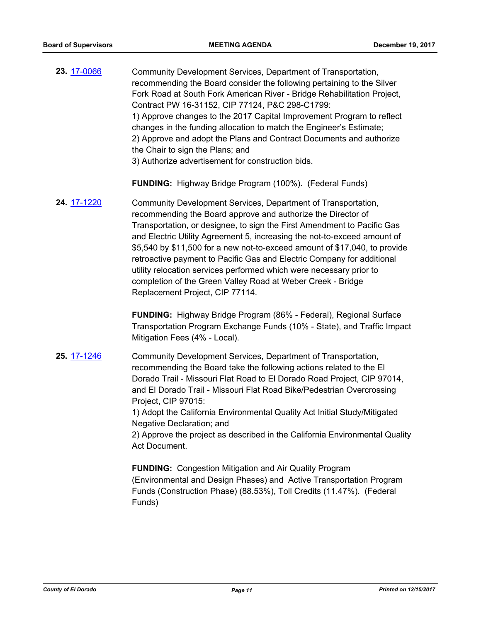**23.** [17-0066](http://eldorado.legistar.com/gateway.aspx?m=l&id=/matter.aspx?key=22003) Community Development Services, Department of Transportation, recommending the Board consider the following pertaining to the Silver Fork Road at South Fork American River - Bridge Rehabilitation Project, Contract PW 16-31152, CIP 77124, P&C 298-C1799: 1) Approve changes to the 2017 Capital Improvement Program to reflect changes in the funding allocation to match the Engineer's Estimate; 2) Approve and adopt the Plans and Contract Documents and authorize the Chair to sign the Plans; and 3) Authorize advertisement for construction bids.

**FUNDING:** Highway Bridge Program (100%). (Federal Funds)

**24.** [17-1220](http://eldorado.legistar.com/gateway.aspx?m=l&id=/matter.aspx?key=23164) Community Development Services, Department of Transportation, recommending the Board approve and authorize the Director of Transportation, or designee, to sign the First Amendment to Pacific Gas and Electric Utility Agreement 5, increasing the not-to-exceed amount of \$5,540 by \$11,500 for a new not-to-exceed amount of \$17,040, to provide retroactive payment to Pacific Gas and Electric Company for additional utility relocation services performed which were necessary prior to completion of the Green Valley Road at Weber Creek - Bridge Replacement Project, CIP 77114.

> **FUNDING:** Highway Bridge Program (86% - Federal), Regional Surface Transportation Program Exchange Funds (10% - State), and Traffic Impact Mitigation Fees (4% - Local).

**25.** [17-1246](http://eldorado.legistar.com/gateway.aspx?m=l&id=/matter.aspx?key=23190) Community Development Services, Department of Transportation, recommending the Board take the following actions related to the El Dorado Trail - Missouri Flat Road to El Dorado Road Project, CIP 97014, and El Dorado Trail - Missouri Flat Road Bike/Pedestrian Overcrossing Project, CIP 97015:

1) Adopt the California Environmental Quality Act Initial Study/Mitigated Negative Declaration; and

2) Approve the project as described in the California Environmental Quality Act Document.

**FUNDING:** Congestion Mitigation and Air Quality Program (Environmental and Design Phases) and Active Transportation Program Funds (Construction Phase) (88.53%), Toll Credits (11.47%). (Federal Funds)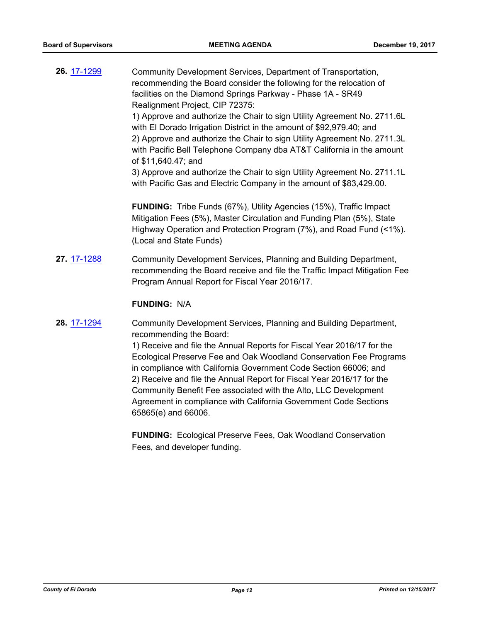| 26. 17-1299 | Community Development Services, Department of Transportation,<br>recommending the Board consider the following for the relocation of<br>facilities on the Diamond Springs Parkway - Phase 1A - SR49<br>Realignment Project, CIP 72375:<br>1) Approve and authorize the Chair to sign Utility Agreement No. 2711.6L<br>with El Dorado Irrigation District in the amount of \$92,979.40; and<br>2) Approve and authorize the Chair to sign Utility Agreement No. 2711.3L<br>with Pacific Bell Telephone Company dba AT&T California in the amount<br>of \$11,640.47; and<br>3) Approve and authorize the Chair to sign Utility Agreement No. 2711.1L<br>with Pacific Gas and Electric Company in the amount of \$83,429.00. |
|-------------|---------------------------------------------------------------------------------------------------------------------------------------------------------------------------------------------------------------------------------------------------------------------------------------------------------------------------------------------------------------------------------------------------------------------------------------------------------------------------------------------------------------------------------------------------------------------------------------------------------------------------------------------------------------------------------------------------------------------------|
|             | <b>FUNDING:</b> Tribe Funds (67%), Utility Agencies (15%), Traffic Impact<br>Mitigation Fees (5%), Master Circulation and Funding Plan (5%), State<br>Highway Operation and Protection Program (7%), and Road Fund (<1%).<br>(Local and State Funds)                                                                                                                                                                                                                                                                                                                                                                                                                                                                      |
| 27. 17-1288 | Community Development Services, Planning and Building Department,<br>recommending the Board receive and file the Traffic Impact Mitigation Fee<br>Program Annual Report for Fiscal Year 2016/17.                                                                                                                                                                                                                                                                                                                                                                                                                                                                                                                          |
|             | <b>FUNDING: N/A</b>                                                                                                                                                                                                                                                                                                                                                                                                                                                                                                                                                                                                                                                                                                       |
| 28. 17-1294 | Community Development Services, Planning and Building Department,<br>recommending the Board:<br>1) Receive and file the Annual Reports for Fiscal Year 2016/17 for the<br>Ecological Preserve Fee and Oak Woodland Conservation Fee Programs<br>in compliance with California Government Code Section 66006; and<br>2) Receive and file the Annual Report for Fiscal Year 2016/17 for the<br>Community Benefit Fee associated with the Alto, LLC Development<br>Agreement in compliance with California Government Code Sections<br>65865(e) and 66006.                                                                                                                                                                   |
|             |                                                                                                                                                                                                                                                                                                                                                                                                                                                                                                                                                                                                                                                                                                                           |

**FUNDING:** Ecological Preserve Fees, Oak Woodland Conservation Fees, and developer funding.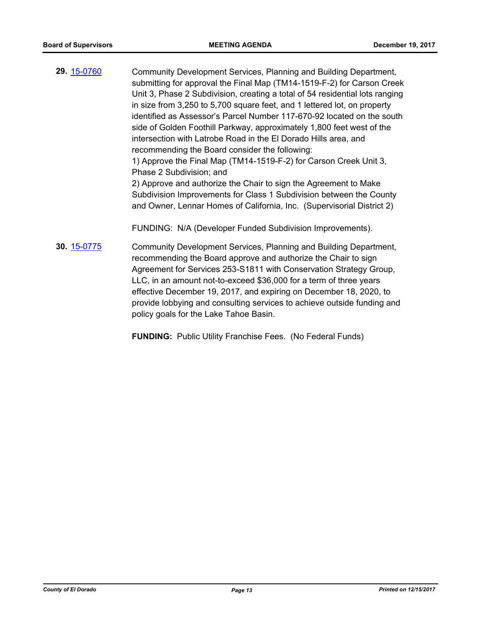- **29.** [15-0760](http://eldorado.legistar.com/gateway.aspx?m=l&id=/matter.aspx?key=19935) Community Development Services, Planning and Building Department, submitting for approval the Final Map (TM14-1519-F-2) for Carson Creek Unit 3, Phase 2 Subdivision, creating a total of 54 residential lots ranging in size from 3,250 to 5,700 square feet, and 1 lettered lot, on property identified as Assessor's Parcel Number 117-670-92 located on the south side of Golden Foothill Parkway, approximately 1,800 feet west of the intersection with Latrobe Road in the El Dorado Hills area, and recommending the Board consider the following: 1) Approve the Final Map (TM14-1519-F-2) for Carson Creek Unit 3, Phase 2 Subdivision; and 2) Approve and authorize the Chair to sign the Agreement to Make Subdivision Improvements for Class 1 Subdivision between the County and Owner, Lennar Homes of California, Inc. (Supervisorial District 2) FUNDING: N/A (Developer Funded Subdivision Improvements).
- **30.** [15-0775](http://eldorado.legistar.com/gateway.aspx?m=l&id=/matter.aspx?key=19950) Community Development Services, Planning and Building Department, recommending the Board approve and authorize the Chair to sign Agreement for Services 253-S1811 with Conservation Strategy Group, LLC, in an amount not-to-exceed \$36,000 for a term of three years effective December 19, 2017, and expiring on December 18, 2020, to provide lobbying and consulting services to achieve outside funding and policy goals for the Lake Tahoe Basin.

**FUNDING:** Public Utility Franchise Fees. (No Federal Funds)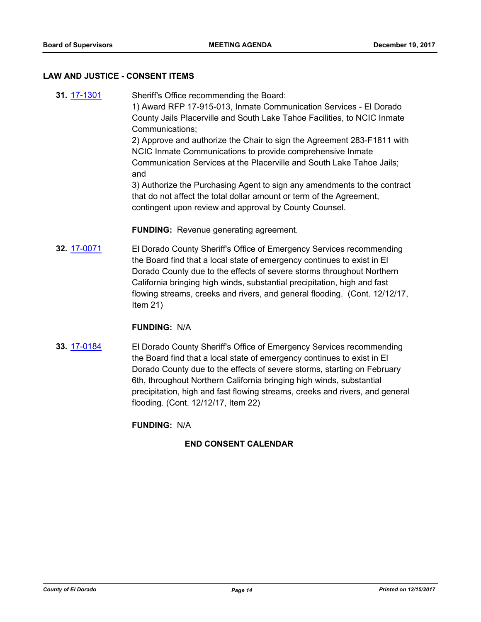#### **LAW AND JUSTICE - CONSENT ITEMS**

**31.** [17-1301](http://eldorado.legistar.com/gateway.aspx?m=l&id=/matter.aspx?key=23245) Sheriff's Office recommending the Board: 1) Award RFP 17-915-013, Inmate Communication Services - El Dorado County Jails Placerville and South Lake Tahoe Facilities, to NCIC Inmate Communications; 2) Approve and authorize the Chair to sign the Agreement 283-F1811 with NCIC Inmate Communications to provide comprehensive Inmate Communication Services at the Placerville and South Lake Tahoe Jails; and 3) Authorize the Purchasing Agent to sign any amendments to the contract that do not affect the total dollar amount or term of the Agreement, contingent upon review and approval by County Counsel.

**FUNDING:** Revenue generating agreement.

**32.** [17-0071](http://eldorado.legistar.com/gateway.aspx?m=l&id=/matter.aspx?key=22008) El Dorado County Sheriff's Office of Emergency Services recommending the Board find that a local state of emergency continues to exist in El Dorado County due to the effects of severe storms throughout Northern California bringing high winds, substantial precipitation, high and fast flowing streams, creeks and rivers, and general flooding. (Cont. 12/12/17, Item 21)

#### **FUNDING:** N/A

**33.** [17-0184](http://eldorado.legistar.com/gateway.aspx?m=l&id=/matter.aspx?key=22122) El Dorado County Sheriff's Office of Emergency Services recommending the Board find that a local state of emergency continues to exist in El Dorado County due to the effects of severe storms, starting on February 6th, throughout Northern California bringing high winds, substantial precipitation, high and fast flowing streams, creeks and rivers, and general flooding. (Cont. 12/12/17, Item 22)

**FUNDING:** N/A

## **END CONSENT CALENDAR**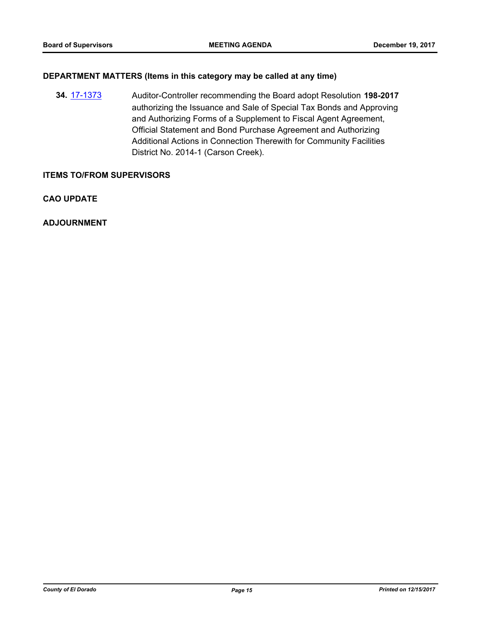## **DEPARTMENT MATTERS (Items in this category may be called at any time)**

**34.** [17-1373](http://eldorado.legistar.com/gateway.aspx?m=l&id=/matter.aspx?key=23319) Auditor-Controller recommending the Board adopt Resolution **198-2017** authorizing the Issuance and Sale of Special Tax Bonds and Approving and Authorizing Forms of a Supplement to Fiscal Agent Agreement, Official Statement and Bond Purchase Agreement and Authorizing Additional Actions in Connection Therewith for Community Facilities District No. 2014-1 (Carson Creek).

### **ITEMS TO/FROM SUPERVISORS**

**CAO UPDATE**

**ADJOURNMENT**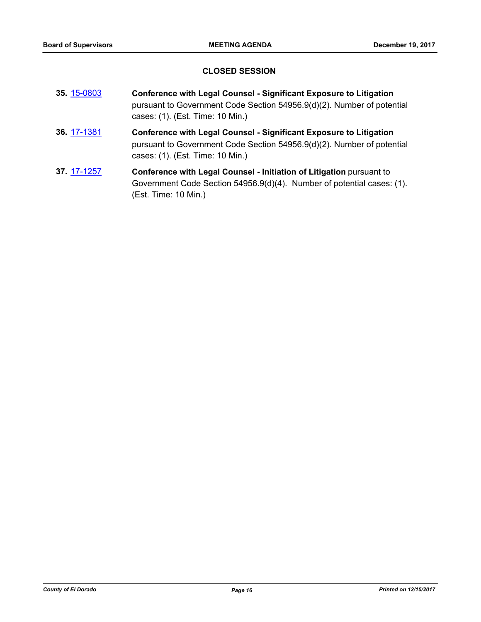## **CLOSED SESSION**

- **35.** [15-0803](http://eldorado.legistar.com/gateway.aspx?m=l&id=/matter.aspx?key=19978) **Conference with Legal Counsel Significant Exposure to Litigation** pursuant to Government Code Section 54956.9(d)(2). Number of potential cases: (1). (Est. Time: 10 Min.) **36.** [17-1381](http://eldorado.legistar.com/gateway.aspx?m=l&id=/matter.aspx?key=23327) **Conference with Legal Counsel - Significant Exposure to Litigation**
- pursuant to Government Code Section 54956.9(d)(2). Number of potential cases: (1). (Est. Time: 10 Min.)
- **37.** [17-1257](http://eldorado.legistar.com/gateway.aspx?m=l&id=/matter.aspx?key=23201) **Conference with Legal Counsel Initiation of Litigation** pursuant to Government Code Section 54956.9(d)(4). Number of potential cases: (1). (Est. Time: 10 Min.)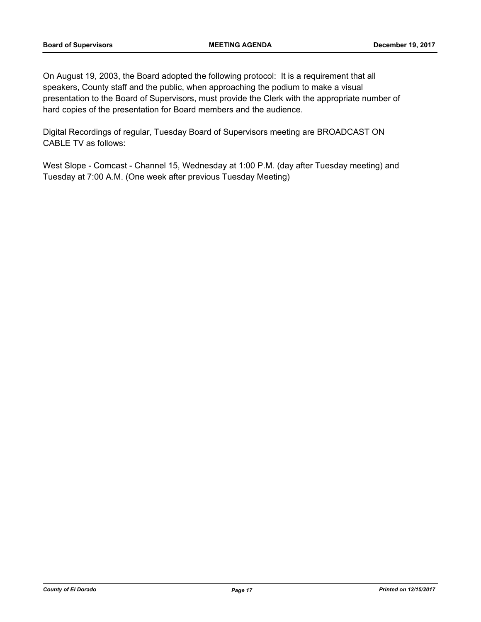On August 19, 2003, the Board adopted the following protocol: It is a requirement that all speakers, County staff and the public, when approaching the podium to make a visual presentation to the Board of Supervisors, must provide the Clerk with the appropriate number of hard copies of the presentation for Board members and the audience.

Digital Recordings of regular, Tuesday Board of Supervisors meeting are BROADCAST ON CABLE TV as follows:

West Slope - Comcast - Channel 15, Wednesday at 1:00 P.M. (day after Tuesday meeting) and Tuesday at 7:00 A.M. (One week after previous Tuesday Meeting)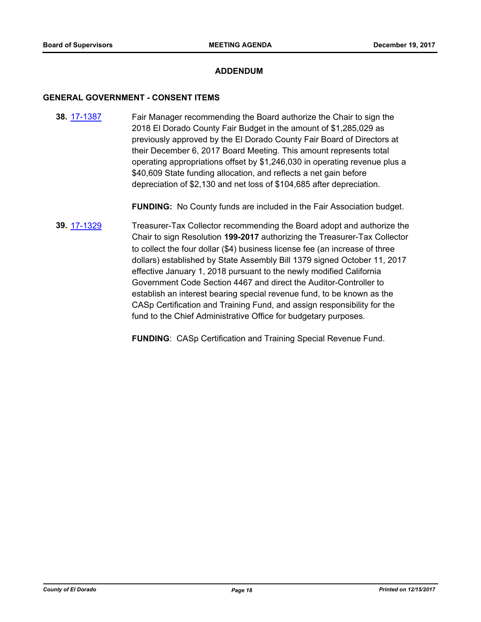## **ADDENDUM**

#### **GENERAL GOVERNMENT - CONSENT ITEMS**

**38.** [17-1387](http://eldorado.legistar.com/gateway.aspx?m=l&id=/matter.aspx?key=23333) Fair Manager recommending the Board authorize the Chair to sign the 2018 El Dorado County Fair Budget in the amount of \$1,285,029 as previously approved by the El Dorado County Fair Board of Directors at their December 6, 2017 Board Meeting. This amount represents total operating appropriations offset by \$1,246,030 in operating revenue plus a \$40,609 State funding allocation, and reflects a net gain before depreciation of \$2,130 and net loss of \$104,685 after depreciation.

**FUNDING:** No County funds are included in the Fair Association budget.

**39.** [17-1329](http://eldorado.legistar.com/gateway.aspx?m=l&id=/matter.aspx?key=23273) Treasurer-Tax Collector recommending the Board adopt and authorize the Chair to sign Resolution **199-2017** authorizing the Treasurer-Tax Collector to collect the four dollar (\$4) business license fee (an increase of three dollars) established by State Assembly Bill 1379 signed October 11, 2017 effective January 1, 2018 pursuant to the newly modified California Government Code Section 4467 and direct the Auditor-Controller to establish an interest bearing special revenue fund, to be known as the CASp Certification and Training Fund, and assign responsibility for the fund to the Chief Administrative Office for budgetary purposes.

**FUNDING**: CASp Certification and Training Special Revenue Fund.